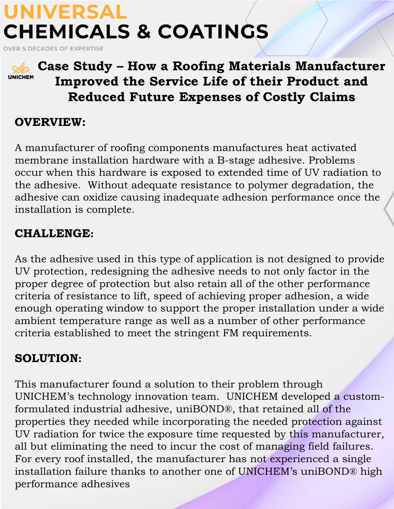# **UNIVERSAL CHEMICALS & COATINGS**

OVER 5 DECADES OF EXPERTISE



### **Case Study – How a Roofing Materials Manufacturer Improved the Service Life of their Product and Reduced Future Expenses of Costly Claims**

�

#### **OVERVIEW:**

A manufacturer of roofing components manufactures heat activated membrane installation hardware with a B-stage adhesive. Problems occur when this hardware is exposed to extended time of UV radiation to the adhesive. Without adequate resistance to polymer degradation, the adhesive can oxidize causing inadequate adhesion performance once the installation is complete.

### **CHALLENGE:**

As the adhesive used in this type of application is not designed to provide UV protection, redesigning the adhesive needs to not only factor in the proper degree of protection but also retain all of the other performance criteria of resistance to lift, speed of achieving proper adhesion, a wide enough operating window to support the proper installation under a wide ambient temperature range as well as a number of other performance criteria established to meet the stringent FM requirements.

### **SOLUTION:**

This manufacturer found a solution to their problem through UNICHEM's technology innovation team. UNICHEM developed a customformulated industrial adhesive, uniBOND®, that retained all of the properties they needed while incorporating the needed protection against UV radiation for twice the exposure time requested by this manufacturer, all but eliminating the need to incur the cost of managing field failures. For every roof installed, the manufacturer has not experienced a single installation failure thanks to another one of UNICHEM's uniBOND® high performance adhesives